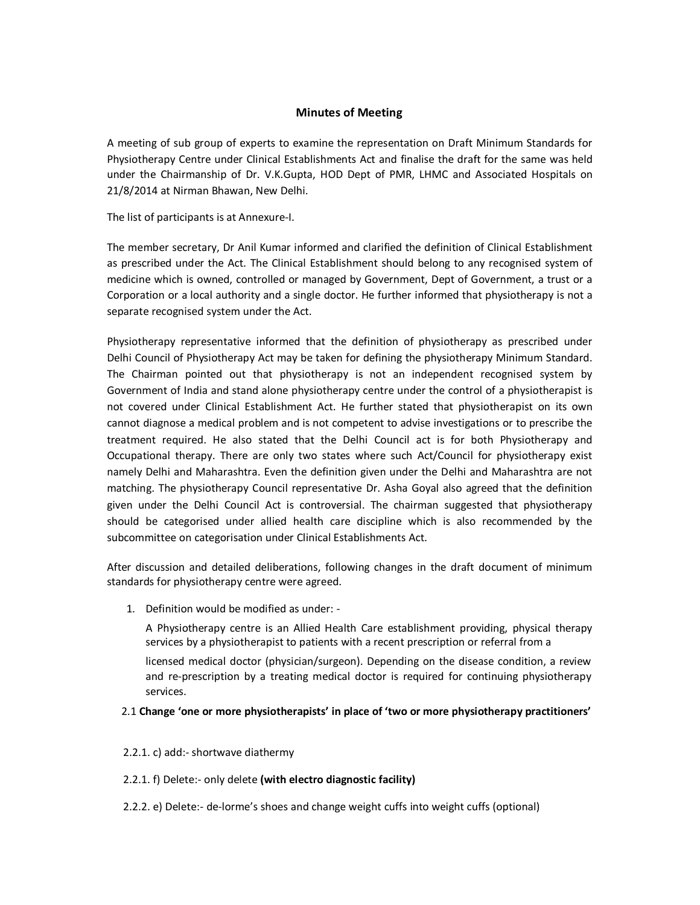#### **Minutes of Meeting**

A meeting of sub group of experts to examine the representation on Draft Minimum Standards for Physiotherapy Centre under Clinical Establishments Act and finalise the draft for the same was held under the Chairmanship of Dr. V.K.Gupta, HOD Dept of PMR, LHMC and Associated Hospitals on 21/8/2014 at Nirman Bhawan, New Delhi.

The list of participants is at Annexure-I.

The member secretary, Dr Anil Kumar informed and clarified the definition of Clinical Establishment as prescribed under the Act. The Clinical Establishment should belong to any recognised system of medicine which is owned, controlled or managed by Government, Dept of Government, a trust or a Corporation or a local authority and a single doctor. He further informed that physiotherapy is not a separate recognised system under the Act.

Physiotherapy representative informed that the definition of physiotherapy as prescribed under Delhi Council of Physiotherapy Act may be taken for defining the physiotherapy Minimum Standard. The Chairman pointed out that physiotherapy is not an independent recognised system by Government of India and stand alone physiotherapy centre under the control of a physiotherapist is not covered under Clinical Establishment Act. He further stated that physiotherapist on its own cannot diagnose a medical problem and is not competent to advise investigations or to prescribe the treatment required. He also stated that the Delhi Council act is for both Physiotherapy and Occupational therapy. There are only two states where such Act/Council for physiotherapy exist namely Delhi and Maharashtra. Even the definition given under the Delhi and Maharashtra are not matching. The physiotherapy Council representative Dr. Asha Goyal also agreed that the definition given under the Delhi Council Act is controversial. The chairman suggested that physiotherapy should be categorised under allied health care discipline which is also recommended by the subcommittee on categorisation under Clinical Establishments Act.

After discussion and detailed deliberations, following changes in the draft document of minimum standards for physiotherapy centre were agreed.

1. Definition would be modified as under: -

A Physiotherapy centre is an Allied Health Care establishment providing, physical therapy services by a physiotherapist to patients with a recent prescription or referral from a

licensed medical doctor (physician/surgeon). Depending on the disease condition, a review and re-prescription by a treating medical doctor is required for continuing physiotherapy services.

#### 2.1 **Change 'one or more physiotherapists' in place of 'two or more physiotherapy practitioners'**

2.2.1. c) add:- shortwave diathermy

2.2.1. f) Delete:- only delete **(with electro diagnostic facility)**

2.2.2. e) Delete:- de-lorme's shoes and change weight cuffs into weight cuffs (optional)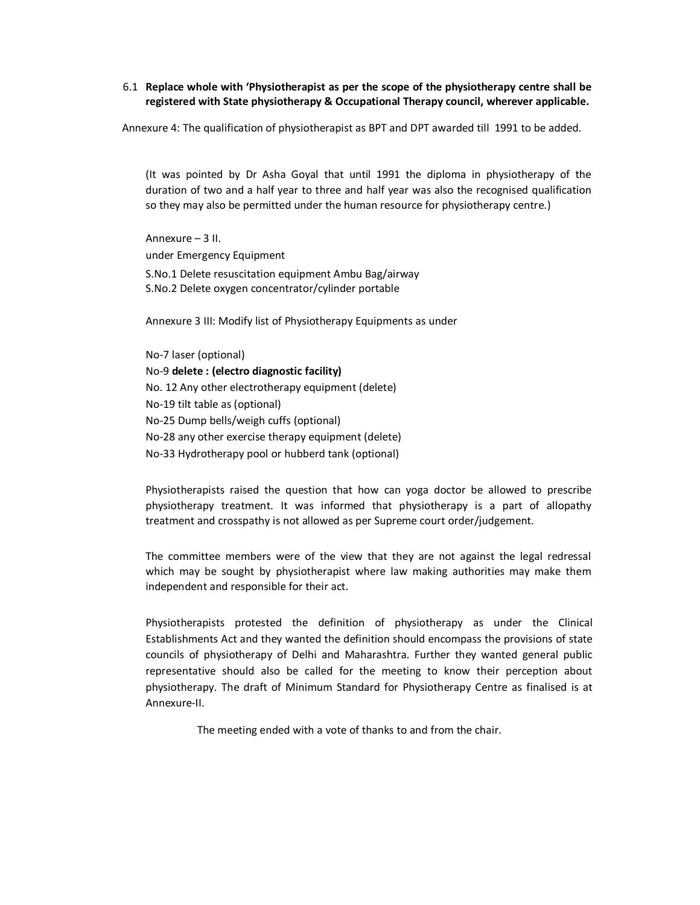#### 6.1 **Replace whole with 'Physiotherapist as per the scope of the physiotherapy centre shall be registered with State physiotherapy & Occupational Therapy council, wherever applicable.**

Annexure 4: The qualification of physiotherapist as BPT and DPT awarded till 1991 to be added.

(It was pointed by Dr Asha Goyal that until 1991 the diploma in physiotherapy of the duration of two and a half year to three and half year was also the recognised qualification so they may also be permitted under the human resource for physiotherapy centre.)

Annexure – 3 II. under Emergency Equipment S.No.1 Delete resuscitation equipment Ambu Bag/airway S.No.2 Delete oxygen concentrator/cylinder portable

Annexure 3 III: Modify list of Physiotherapy Equipments as under

No-7 laser (optional) No-9 **delete : (electro diagnostic facility)** No. 12 Any other electrotherapy equipment (delete) No-19 tilt table as (optional) No-25 Dump bells/weigh cuffs (optional) No-28 any other exercise therapy equipment (delete) No-33 Hydrotherapy pool or hubberd tank (optional)

Physiotherapists raised the question that how can yoga doctor be allowed to prescribe physiotherapy treatment. It was informed that physiotherapy is a part of allopathy treatment and crosspathy is not allowed as per Supreme court order/judgement.

The committee members were of the view that they are not against the legal redressal which may be sought by physiotherapist where law making authorities may make them independent and responsible for their act.

Physiotherapists protested the definition of physiotherapy as under the Clinical Establishments Act and they wanted the definition should encompass the provisions of state councils of physiotherapy of Delhi and Maharashtra. Further they wanted general public representative should also be called for the meeting to know their perception about physiotherapy. The draft of Minimum Standard for Physiotherapy Centre as finalised is at Annexure-II.

The meeting ended with a vote of thanks to and from the chair.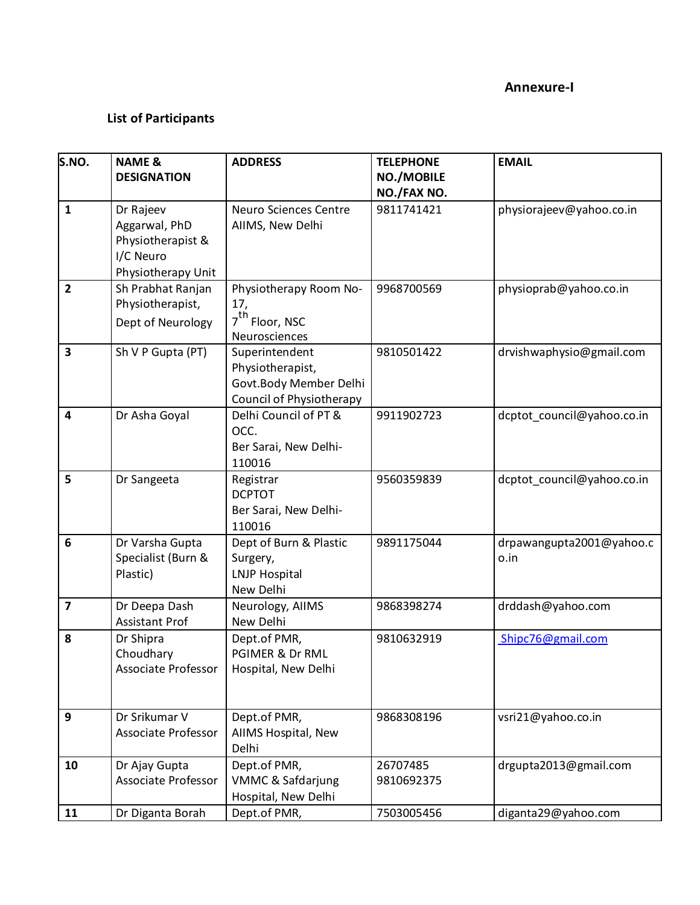#### **Annexure-I**

# **List of Participants**

| S.NO.                   | <b>NAME &amp;</b>                                                                  | <b>ADDRESS</b>                                                                           | <b>TELEPHONE</b>          | <b>EMAIL</b>                     |
|-------------------------|------------------------------------------------------------------------------------|------------------------------------------------------------------------------------------|---------------------------|----------------------------------|
|                         | <b>DESIGNATION</b>                                                                 |                                                                                          | NO./MOBILE                |                                  |
|                         |                                                                                    | <b>Neuro Sciences Centre</b>                                                             | NO./FAX NO.<br>9811741421 |                                  |
| 1                       | Dr Rajeev<br>Aggarwal, PhD<br>Physiotherapist &<br>I/C Neuro<br>Physiotherapy Unit | AIIMS, New Delhi                                                                         |                           | physiorajeev@yahoo.co.in         |
| $\overline{2}$          | Sh Prabhat Ranjan                                                                  | Physiotherapy Room No-                                                                   | 9968700569                | physioprab@yahoo.co.in           |
|                         | Physiotherapist,<br>Dept of Neurology                                              | 17,<br>$7^{\text{th}}$ Floor, NSC<br>Neurosciences                                       |                           |                                  |
| 3                       | Sh V P Gupta (PT)                                                                  | Superintendent<br>Physiotherapist,<br>Govt.Body Member Delhi<br>Council of Physiotherapy | 9810501422                | drvishwaphysio@gmail.com         |
| 4                       | Dr Asha Goyal                                                                      | Delhi Council of PT &<br>OCC.<br>Ber Sarai, New Delhi-<br>110016                         | 9911902723                | dcptot_council@yahoo.co.in       |
| 5                       | Dr Sangeeta                                                                        | Registrar<br><b>DCPTOT</b><br>Ber Sarai, New Delhi-<br>110016                            | 9560359839                | dcptot council@yahoo.co.in       |
| $6\phantom{1}$          | Dr Varsha Gupta<br>Specialist (Burn &<br>Plastic)                                  | Dept of Burn & Plastic<br>Surgery,<br><b>LNJP Hospital</b><br>New Delhi                  | 9891175044                | drpawangupta2001@yahoo.c<br>o.in |
| $\overline{\mathbf{z}}$ | Dr Deepa Dash<br><b>Assistant Prof</b>                                             | Neurology, AIIMS<br>New Delhi                                                            | 9868398274                | drddash@yahoo.com                |
| 8                       | Dr Shipra<br>Choudhary<br>Associate Professor                                      | Dept.of PMR,<br>PGIMER & Dr RML<br>Hospital, New Delhi                                   | 9810632919                | Shipc76@gmail.com                |
| 9                       | Dr Srikumar V<br><b>Associate Professor</b>                                        | Dept.of PMR,<br>AIIMS Hospital, New<br>Delhi                                             | 9868308196                | vsri21@yahoo.co.in               |
| 10                      | Dr Ajay Gupta<br>Associate Professor                                               | Dept.of PMR,<br>VMMC & Safdarjung<br>Hospital, New Delhi                                 | 26707485<br>9810692375    | drgupta2013@gmail.com            |
| 11                      | Dr Diganta Borah                                                                   | Dept.of PMR,                                                                             | 7503005456                | diganta29@yahoo.com              |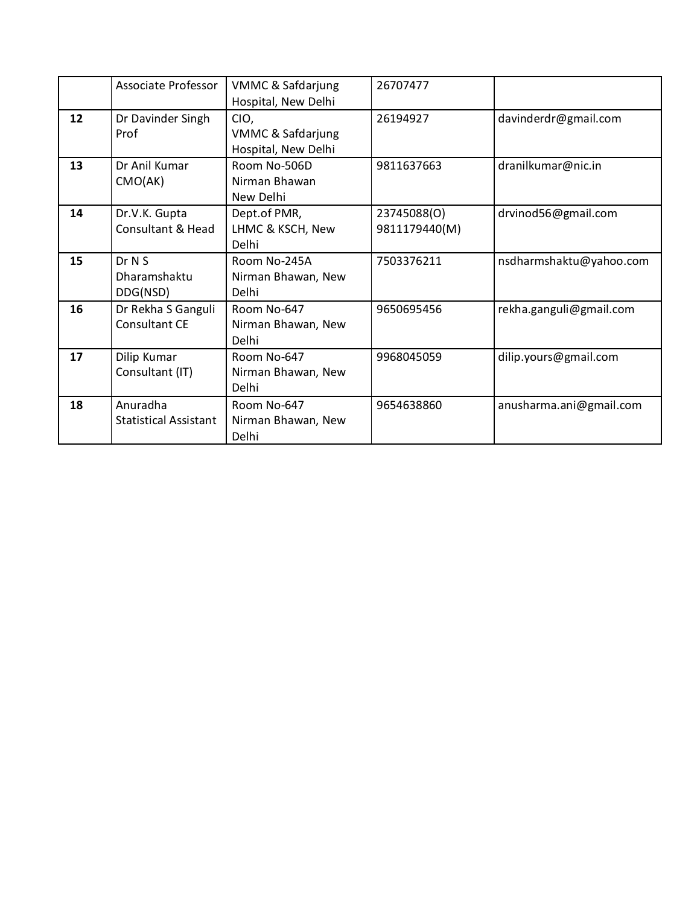|    | Associate Professor          | <b>VMMC &amp; Safdarjung</b> | 26707477      |                         |
|----|------------------------------|------------------------------|---------------|-------------------------|
|    |                              | Hospital, New Delhi          |               |                         |
| 12 | Dr Davinder Singh            | CIO,                         | 26194927      | davinderdr@gmail.com    |
|    | Prof                         | VMMC & Safdarjung            |               |                         |
|    |                              | Hospital, New Delhi          |               |                         |
| 13 | Dr Anil Kumar                | Room No-506D                 | 9811637663    | dranilkumar@nic.in      |
|    | CMO(AK)                      | Nirman Bhawan                |               |                         |
|    |                              | New Delhi                    |               |                         |
| 14 | Dr.V.K. Gupta                | Dept.of PMR,                 | 23745088(O)   | drvinod56@gmail.com     |
|    | Consultant & Head            | LHMC & KSCH, New             | 9811179440(M) |                         |
|    |                              | Delhi                        |               |                         |
| 15 | Dr N S                       | Room No-245A                 | 7503376211    | nsdharmshaktu@yahoo.com |
|    | Dharamshaktu                 | Nirman Bhawan, New           |               |                         |
|    | DDG(NSD)                     | <b>Delhi</b>                 |               |                         |
| 16 | Dr Rekha S Ganguli           | Room No-647                  | 9650695456    | rekha.ganguli@gmail.com |
|    | Consultant CE                | Nirman Bhawan, New           |               |                         |
|    |                              | Delhi                        |               |                         |
| 17 | Dilip Kumar                  | Room No-647                  | 9968045059    | dilip.yours@gmail.com   |
|    | Consultant (IT)              | Nirman Bhawan, New           |               |                         |
|    |                              | Delhi                        |               |                         |
| 18 | Anuradha                     | Room No-647                  | 9654638860    | anusharma.ani@gmail.com |
|    | <b>Statistical Assistant</b> | Nirman Bhawan, New           |               |                         |
|    |                              | Delhi                        |               |                         |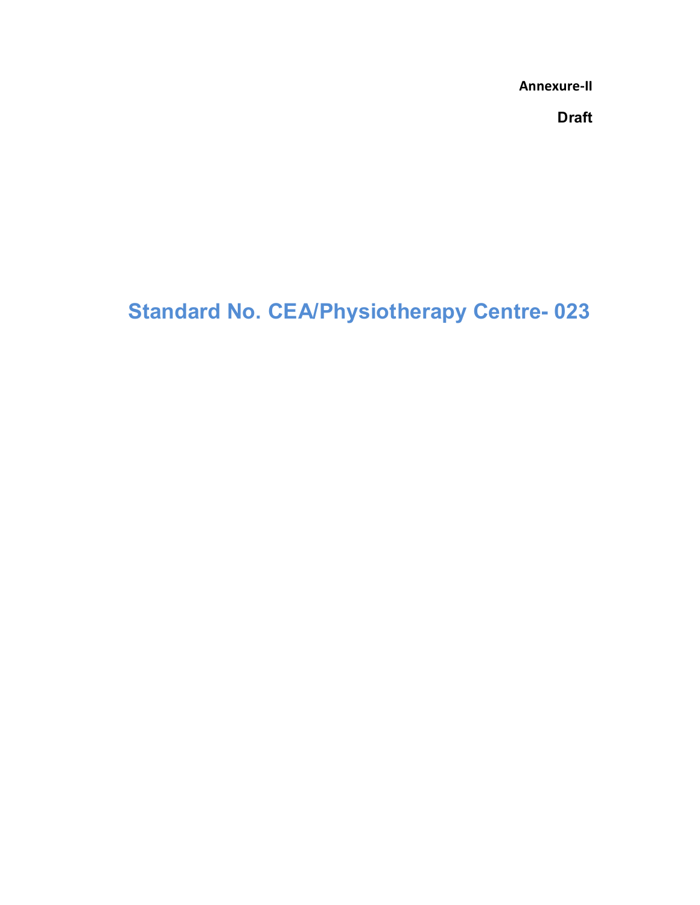**Annexure-II**

**Draft**

# **Standard No. CEA/Physiotherapy Centre- 023**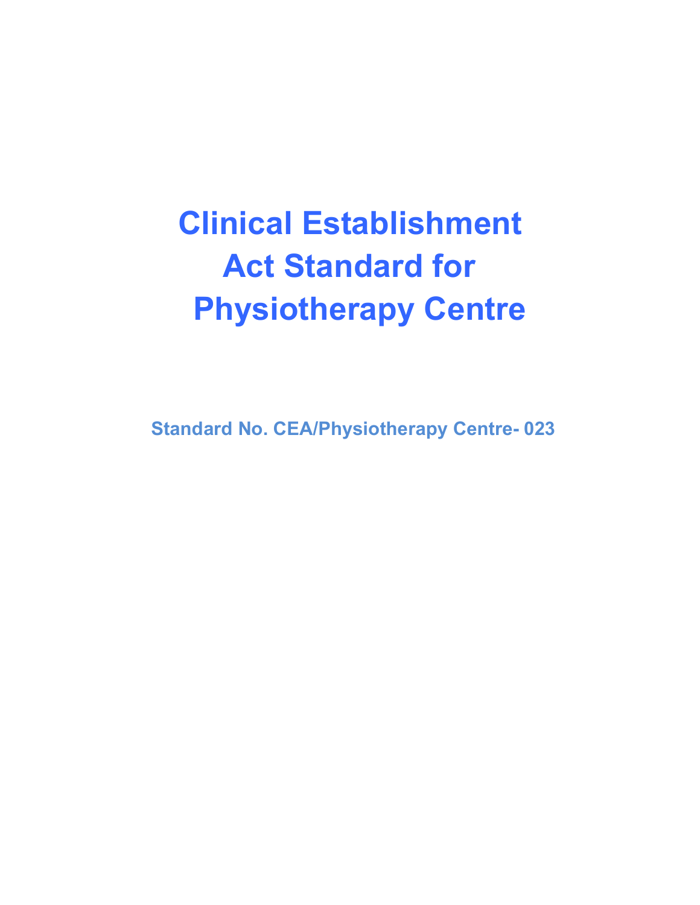# **Clinical Establishment Act Standard for Physiotherapy Centre**

**Standard No. CEA/Physiotherapy Centre- 023**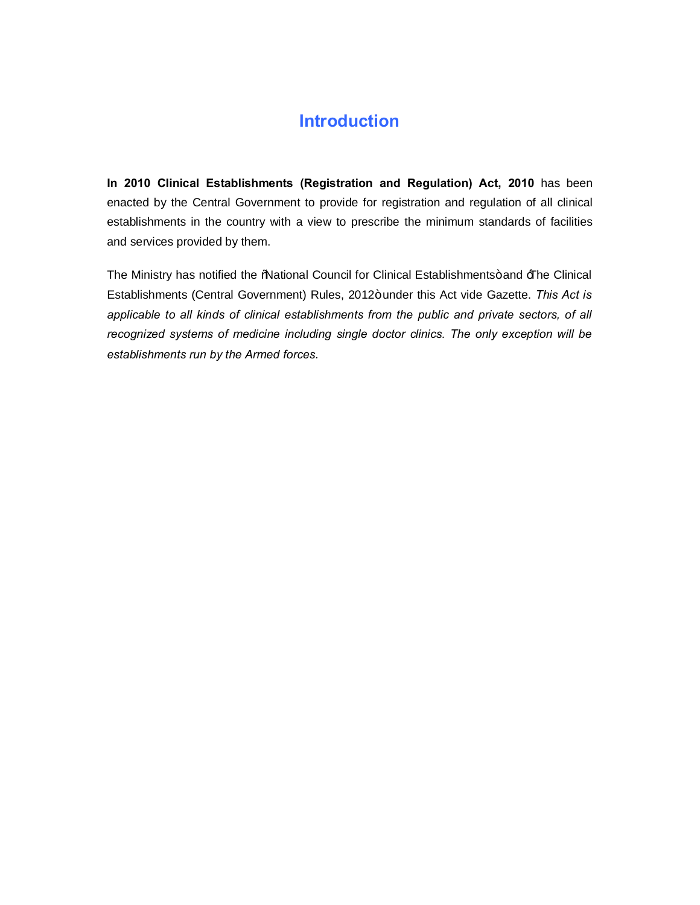# **Introduction**

**In 2010 Clinical Establishments (Registration and Regulation) Act, 2010** has been enacted by the Central Government to provide for registration and regulation of all clinical establishments in the country with a view to prescribe the minimum standards of facilities and services provided by them.

The Ministry has notified the 'Mational Council for Clinical Establishments+ and  $\exists$  he Clinical Establishments (Central Government) Rules, 2012+under this Act vide Gazette. This Act is *applicable to all kinds of clinical establishments from the public and private sectors, of all recognized systems of medicine including single doctor clinics. The only exception will be establishments run by the Armed forces.*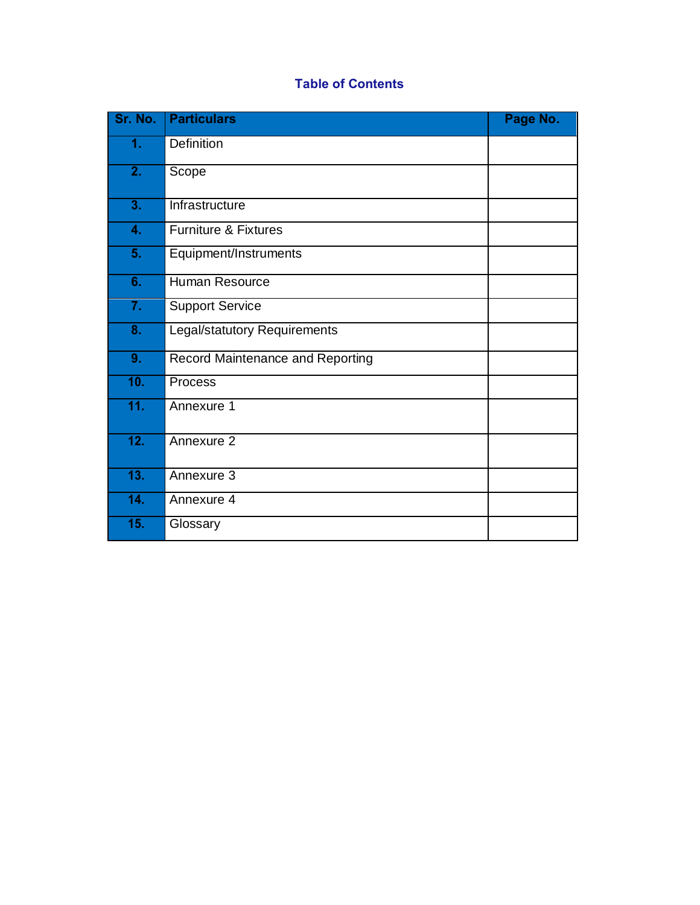# **Table of Contents**

| Sr. No.                   | <b>Particulars</b>                  | Page No. |
|---------------------------|-------------------------------------|----------|
| 1.                        | Definition                          |          |
| $\overline{2}$ .          | Scope                               |          |
| 3.                        | Infrastructure                      |          |
| 4.                        | <b>Furniture &amp; Fixtures</b>     |          |
| 5 <sub>1</sub>            | Equipment/Instruments               |          |
| 6.                        | <b>Human Resource</b>               |          |
| 7.                        | <b>Support Service</b>              |          |
| $\overline{\mathbf{8}}$ . | <b>Legal/statutory Requirements</b> |          |
| 9.                        | Record Maintenance and Reporting    |          |
| 10.                       | Process                             |          |
| 11.                       | Annexure 1                          |          |
| 12.                       | Annexure 2                          |          |
| 13.                       | Annexure 3                          |          |
| 14.                       | Annexure 4                          |          |
| 15.                       | Glossary                            |          |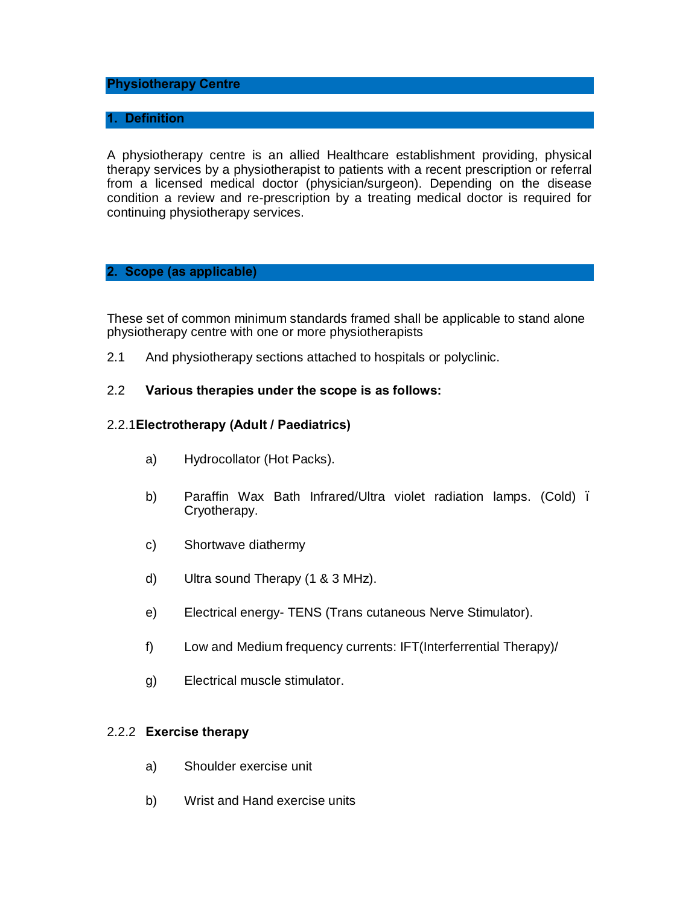#### **Physiotherapy Centre**

#### **1. Definition**

A physiotherapy centre is an allied Healthcare establishment providing, physical therapy services by a physiotherapist to patients with a recent prescription or referral from a licensed medical doctor (physician/surgeon). Depending on the disease condition a review and re-prescription by a treating medical doctor is required for continuing physiotherapy services.

#### **2. Scope (as applicable)**

These set of common minimum standards framed shall be applicable to stand alone physiotherapy centre with one or more physiotherapists

2.1 And physiotherapy sections attached to hospitals or polyclinic.

#### 2.2 **Various therapies under the scope is as follows:**

#### 2.2.1**Electrotherapy (Adult / Paediatrics)**

- a) Hydrocollator (Hot Packs).
- b) Paraffin Wax Bath Infrared/Ultra violet radiation lamps. (Cold). Cryotherapy.
- c) Shortwave diathermy
- d) Ultra sound Therapy (1 & 3 MHz).
- e) Electrical energy- TENS (Trans cutaneous Nerve Stimulator).
- f) Low and Medium frequency currents: IFT(Interferrential Therapy)/
- g) Electrical muscle stimulator.

#### 2.2.2 **Exercise therapy**

- a) Shoulder exercise unit
- b) Wrist and Hand exercise units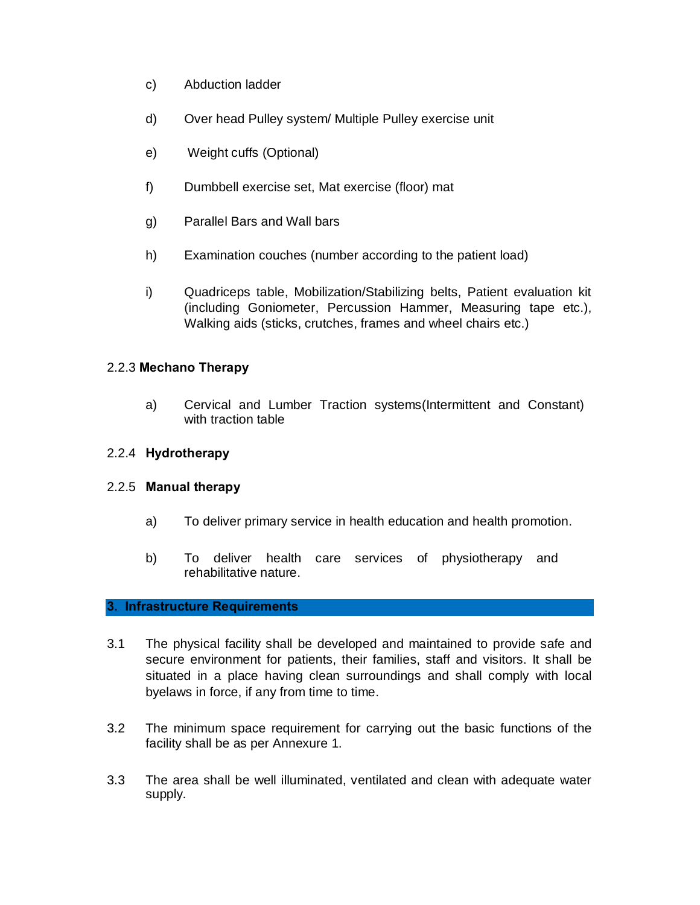- c) Abduction ladder
- d) Over head Pulley system/ Multiple Pulley exercise unit
- e) Weight cuffs (Optional)
- f) Dumbbell exercise set, Mat exercise (floor) mat
- g) Parallel Bars and Wall bars
- h) Examination couches (number according to the patient load)
- i) Quadriceps table, Mobilization/Stabilizing belts, Patient evaluation kit (including Goniometer, Percussion Hammer, Measuring tape etc.), Walking aids (sticks, crutches, frames and wheel chairs etc.)

#### 2.2.3 **Mechano Therapy**

a) Cervical and Lumber Traction systems(Intermittent and Constant) with traction table

#### 2.2.4 **Hydrotherapy**

#### 2.2.5 **Manual therapy**

- a) To deliver primary service in health education and health promotion.
- b) To deliver health care services of physiotherapy and rehabilitative nature.

#### **3. Infrastructure Requirements**

- 3.1 The physical facility shall be developed and maintained to provide safe and secure environment for patients, their families, staff and visitors. It shall be situated in a place having clean surroundings and shall comply with local byelaws in force, if any from time to time.
- 3.2 The minimum space requirement for carrying out the basic functions of the facility shall be as per Annexure 1.
- 3.3 The area shall be well illuminated, ventilated and clean with adequate water supply.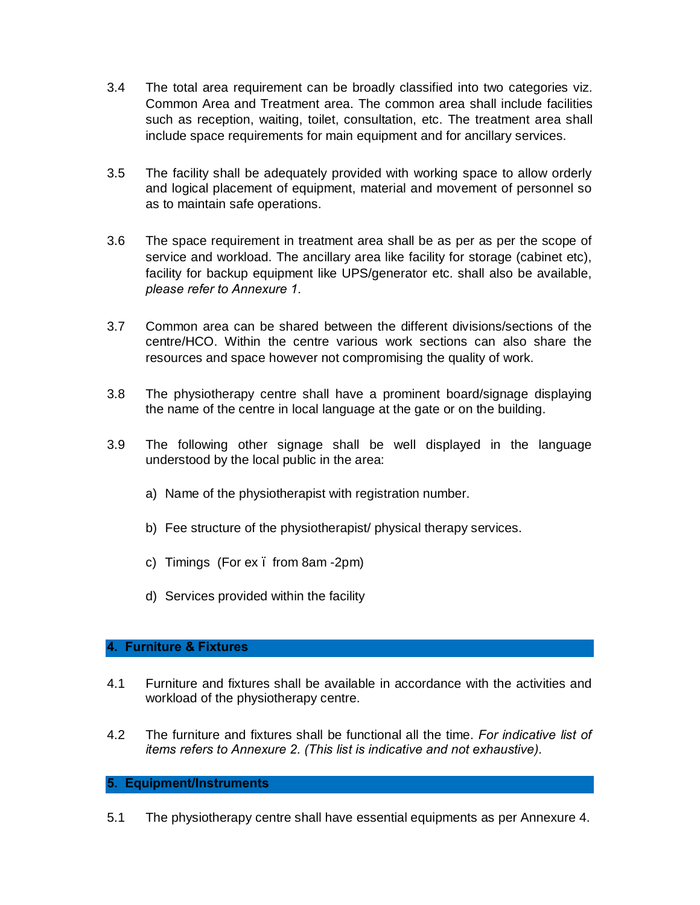- 3.4 The total area requirement can be broadly classified into two categories viz. Common Area and Treatment area. The common area shall include facilities such as reception, waiting, toilet, consultation, etc. The treatment area shall include space requirements for main equipment and for ancillary services.
- 3.5 The facility shall be adequately provided with working space to allow orderly and logical placement of equipment, material and movement of personnel so as to maintain safe operations.
- 3.6 The space requirement in treatment area shall be as per as per the scope of service and workload. The ancillary area like facility for storage (cabinet etc), facility for backup equipment like UPS/generator etc. shall also be available, *please refer to Annexure 1.*
- 3.7 Common area can be shared between the different divisions/sections of the centre/HCO. Within the centre various work sections can also share the resources and space however not compromising the quality of work.
- 3.8 The physiotherapy centre shall have a prominent board/signage displaying the name of the centre in local language at the gate or on the building.
- 3.9 The following other signage shall be well displayed in the language understood by the local public in the area:
	- a) Name of the physiotherapist with registration number.
	- b) Fee structure of the physiotherapist/ physical therapy services.
	- c) Timings (For ex . from 8am -2pm)
	- d) Services provided within the facility

#### **4. Furniture & Fixtures**

- 4.1 Furniture and fixtures shall be available in accordance with the activities and workload of the physiotherapy centre.
- 4.2 The furniture and fixtures shall be functional all the time. *For indicative list of items refers to Annexure 2. (This list is indicative and not exhaustive).*

#### **5. Equipment/Instruments**

5.1 The physiotherapy centre shall have essential equipments as per Annexure 4.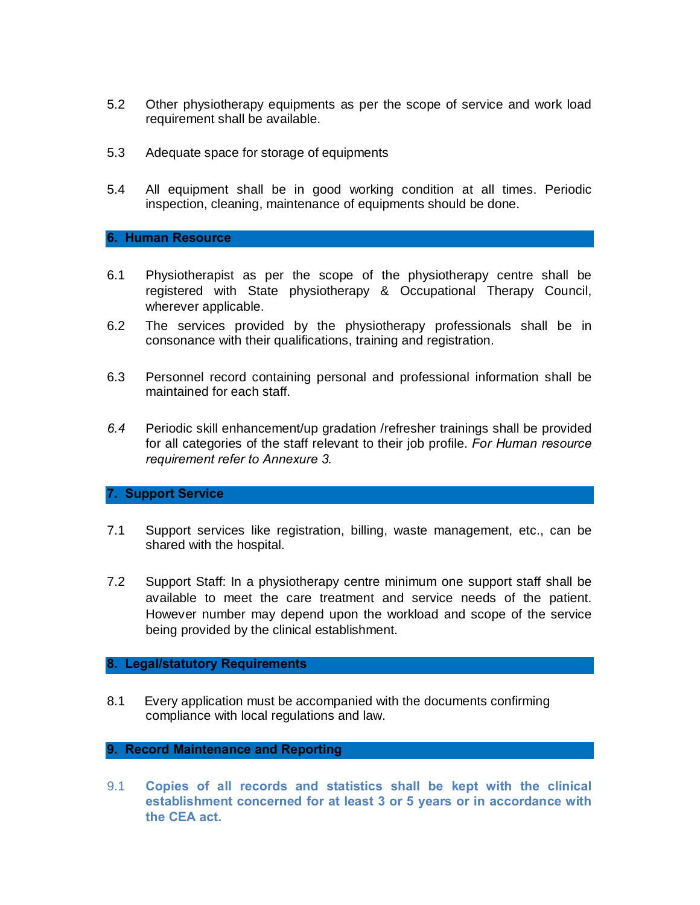- 5.2 Other physiotherapy equipments as per the scope of service and work load requirement shall be available.
- 5.3 Adequate space for storage of equipments
- 5.4 All equipment shall be in good working condition at all times. Periodic inspection, cleaning, maintenance of equipments should be done.

#### **6. Human Resource**

- 6.1 Physiotherapist as per the scope of the physiotherapy centre shall be registered with State physiotherapy & Occupational Therapy Council, wherever applicable.
- 6.2 The services provided by the physiotherapy professionals shall be in consonance with their qualifications, training and registration.
- 6.3 Personnel record containing personal and professional information shall be maintained for each staff.
- *6.4* Periodic skill enhancement/up gradation /refresher trainings shall be provided for all categories of the staff relevant to their job profile. *For Human resource requirement refer to Annexure 3.*

#### **7. Support Service**

- 7.1 Support services like registration, billing, waste management, etc., can be shared with the hospital.
- 7.2 Support Staff: In a physiotherapy centre minimum one support staff shall be available to meet the care treatment and service needs of the patient. However number may depend upon the workload and scope of the service being provided by the clinical establishment.

#### **8. Legal/statutory Requirements**

8.1 Every application must be accompanied with the documents confirming compliance with local regulations and law.

#### **9. Record Maintenance and Reporting**

9.1 **Copies of all records and statistics shall be kept with the clinical establishment concerned for at least 3 or 5 years or in accordance with the CEA act.**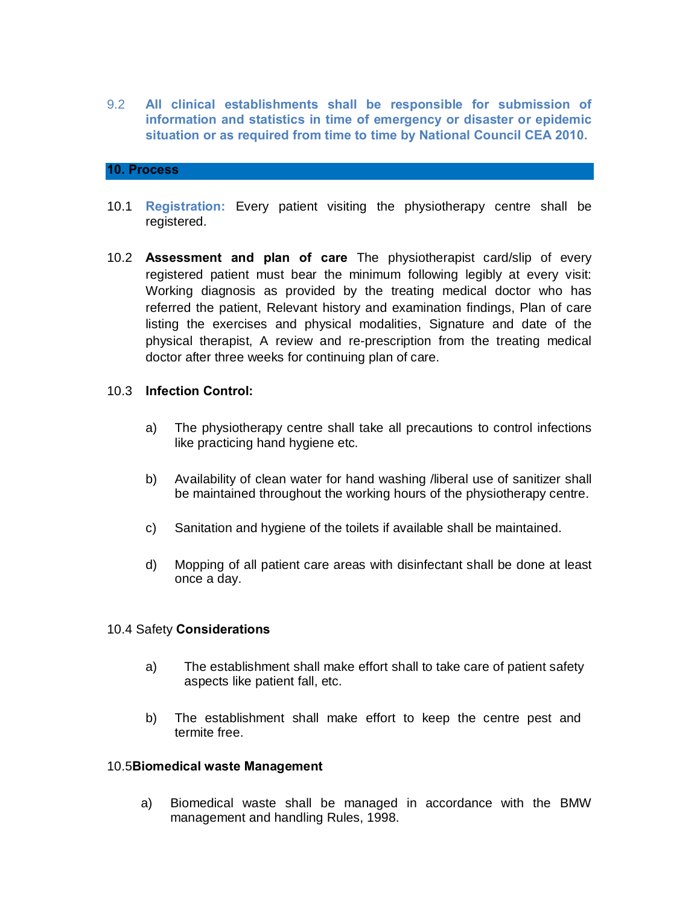9.2 **All clinical establishments shall be responsible for submission of information and statistics in time of emergency or disaster or epidemic situation or as required from time to time by National Council CEA 2010.** 

#### **10. Process**

- 10.1 **Registration:** Every patient visiting the physiotherapy centre shall be registered.
- 10.2 **Assessment and plan of care** The physiotherapist card/slip of every registered patient must bear the minimum following legibly at every visit: Working diagnosis as provided by the treating medical doctor who has referred the patient, Relevant history and examination findings, Plan of care listing the exercises and physical modalities, Signature and date of the physical therapist, A review and re-prescription from the treating medical doctor after three weeks for continuing plan of care.

#### 10.3 **Infection Control:**

- a) The physiotherapy centre shall take all precautions to control infections like practicing hand hygiene etc.
- b) Availability of clean water for hand washing /liberal use of sanitizer shall be maintained throughout the working hours of the physiotherapy centre.
- c) Sanitation and hygiene of the toilets if available shall be maintained.
- d) Mopping of all patient care areas with disinfectant shall be done at least once a day.

#### 10.4 Safety **Considerations**

- a) The establishment shall make effort shall to take care of patient safety aspects like patient fall, etc.
- b) The establishment shall make effort to keep the centre pest and termite free.

#### 10.5**Biomedical waste Management**

a) Biomedical waste shall be managed in accordance with the BMW management and handling Rules, 1998.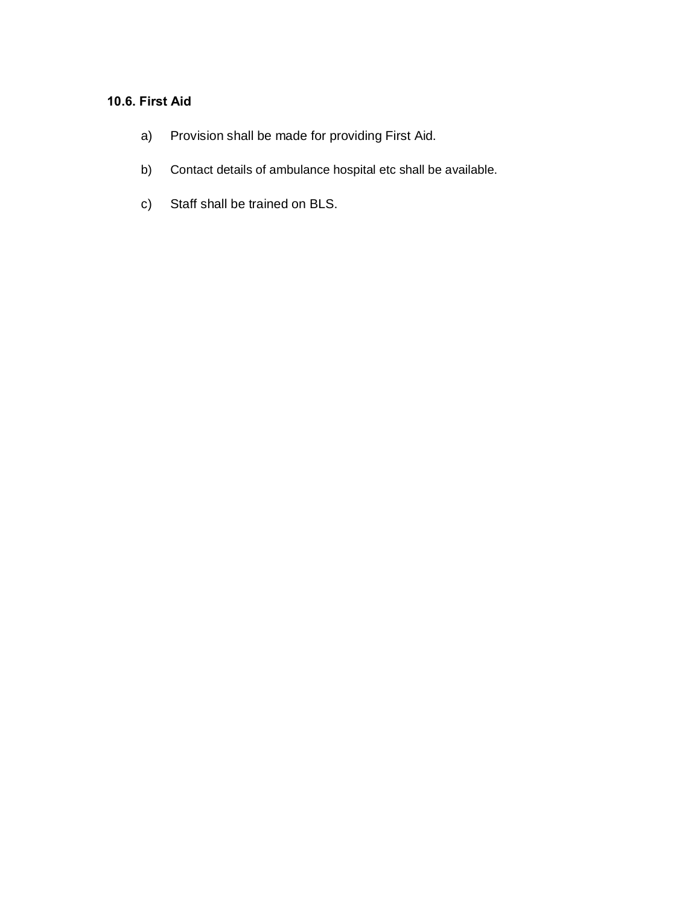# **10.6. First Aid**

- a) Provision shall be made for providing First Aid.
- b) Contact details of ambulance hospital etc shall be available.
- c) Staff shall be trained on BLS.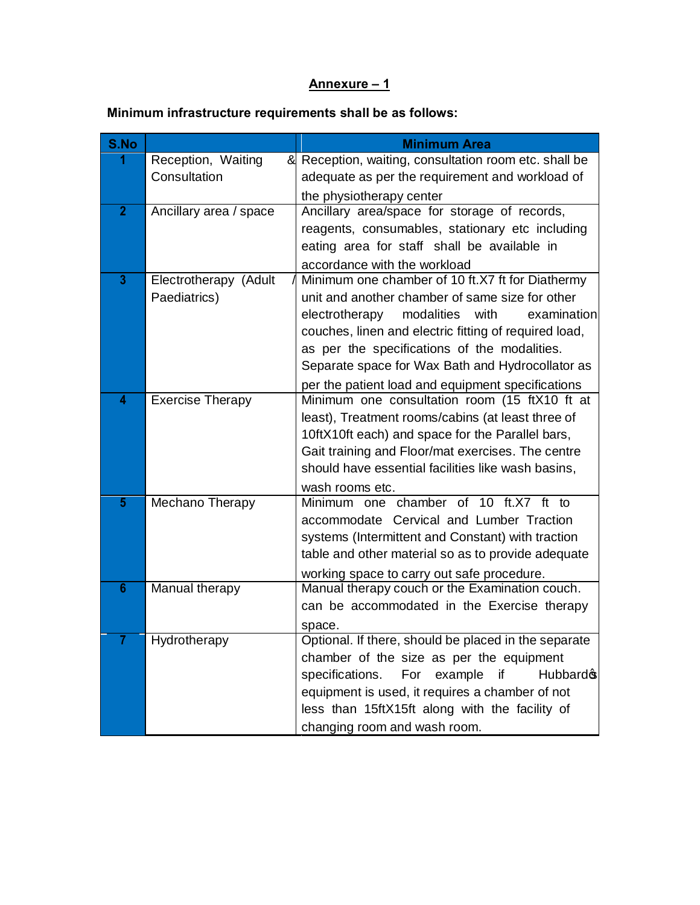# **Annexure – 1**

# **Minimum infrastructure requirements shall be as follows:**

| S.No                    |                         | <b>Minimum Area</b>                                                                                     |  |  |  |
|-------------------------|-------------------------|---------------------------------------------------------------------------------------------------------|--|--|--|
|                         | Reception, Waiting      | & Reception, waiting, consultation room etc. shall be                                                   |  |  |  |
|                         | Consultation            | adequate as per the requirement and workload of                                                         |  |  |  |
|                         |                         | the physiotherapy center                                                                                |  |  |  |
| $\overline{2}$          | Ancillary area / space  | Ancillary area/space for storage of records,                                                            |  |  |  |
|                         |                         | reagents, consumables, stationary etc including                                                         |  |  |  |
|                         |                         | eating area for staff shall be available in                                                             |  |  |  |
| $\overline{\mathbf{3}}$ | Electrotherapy (Adult   | accordance with the workload                                                                            |  |  |  |
|                         | Paediatrics)            | Minimum one chamber of 10 ft.X7 ft for Diathermy<br>unit and another chamber of same size for other     |  |  |  |
|                         |                         | examination<br>electrotherapy<br>modalities<br>with                                                     |  |  |  |
|                         |                         | couches, linen and electric fitting of required load,                                                   |  |  |  |
|                         |                         | as per the specifications of the modalities.                                                            |  |  |  |
|                         |                         | Separate space for Wax Bath and Hydrocollator as                                                        |  |  |  |
|                         |                         | per the patient load and equipment specifications                                                       |  |  |  |
| 4                       | <b>Exercise Therapy</b> | Minimum one consultation room (15 ftX10 ft at                                                           |  |  |  |
|                         |                         | least), Treatment rooms/cabins (at least three of                                                       |  |  |  |
|                         |                         | 10ftX10ft each) and space for the Parallel bars,                                                        |  |  |  |
|                         |                         | Gait training and Floor/mat exercises. The centre                                                       |  |  |  |
|                         |                         | should have essential facilities like wash basins,                                                      |  |  |  |
|                         |                         | wash rooms etc.                                                                                         |  |  |  |
| 5                       | Mechano Therapy         | Minimum one chamber of 10 ft.X7 ft to                                                                   |  |  |  |
|                         |                         | accommodate Cervical and Lumber Traction                                                                |  |  |  |
|                         |                         | systems (Intermittent and Constant) with traction<br>table and other material so as to provide adequate |  |  |  |
|                         |                         |                                                                                                         |  |  |  |
| $6\phantom{1}$          | Manual therapy          | working space to carry out safe procedure.<br>Manual therapy couch or the Examination couch.            |  |  |  |
|                         |                         | can be accommodated in the Exercise therapy                                                             |  |  |  |
|                         |                         | space.                                                                                                  |  |  |  |
|                         | Hydrotherapy            | Optional. If there, should be placed in the separate                                                    |  |  |  |
|                         |                         | chamber of the size as per the equipment                                                                |  |  |  |
|                         |                         | For example<br>specifications.<br>if<br>Hubbard <sub>®</sub>                                            |  |  |  |
|                         |                         | equipment is used, it requires a chamber of not                                                         |  |  |  |
|                         |                         | less than 15ftX15ft along with the facility of                                                          |  |  |  |
|                         |                         | changing room and wash room.                                                                            |  |  |  |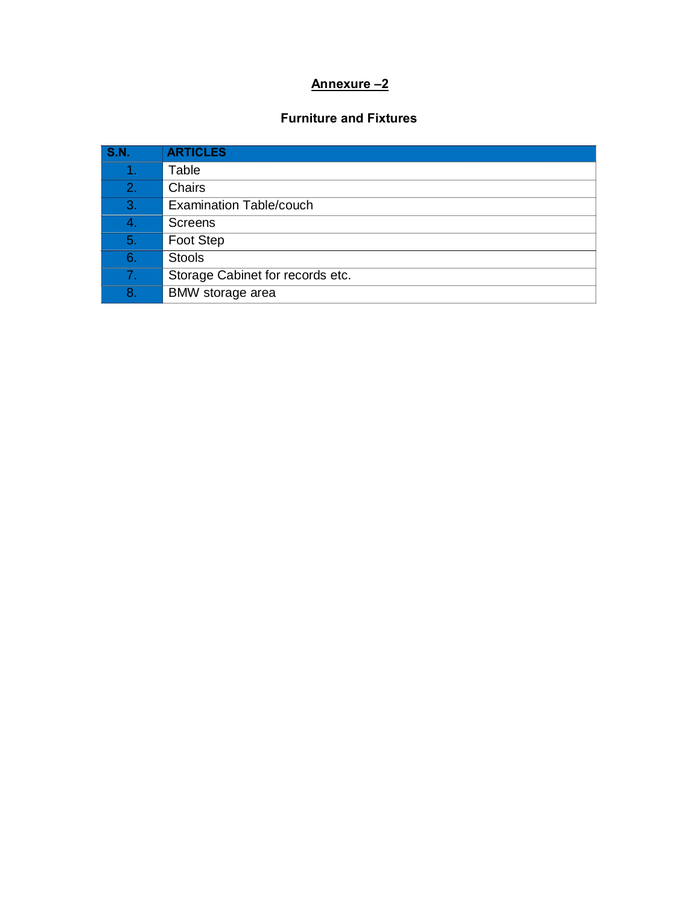# **Annexure –2**

# **Furniture and Fixtures**

| <b>S.N.</b> | <b>ARTICLES</b>                  |
|-------------|----------------------------------|
|             | Table                            |
| 2.          | Chairs                           |
| 3.          | <b>Examination Table/couch</b>   |
| 4.          | <b>Screens</b>                   |
| 5.          | Foot Step                        |
| 6.          | <b>Stools</b>                    |
| 7.          | Storage Cabinet for records etc. |
| 8.          | BMW storage area                 |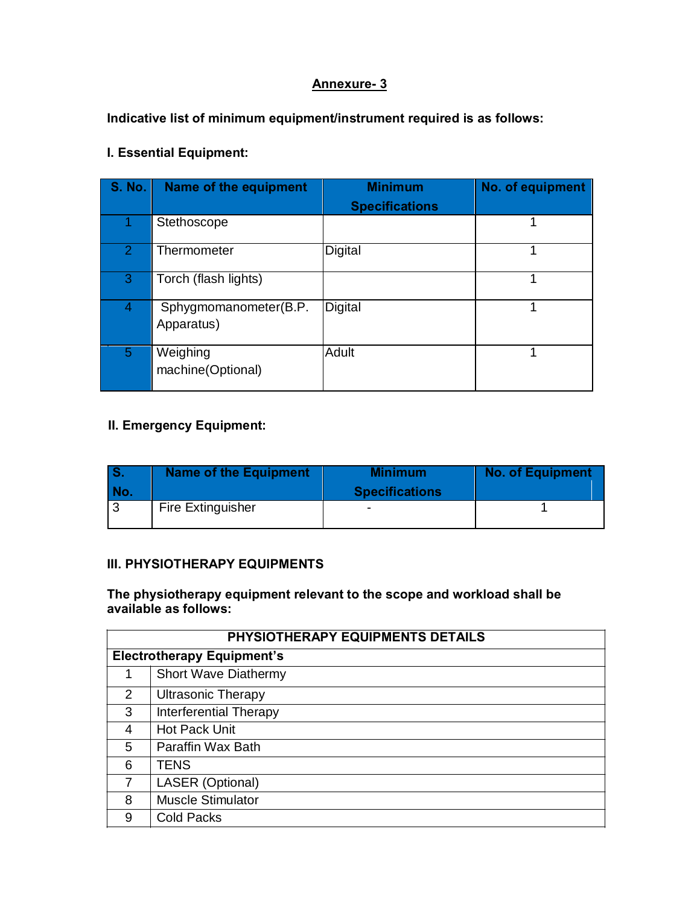# **Annexure- 3**

**Indicative list of minimum equipment/instrument required is as follows:**

# **I. Essential Equipment:**

| S. No.         | Name of the equipment               | <b>Minimum</b>        | No. of equipment |
|----------------|-------------------------------------|-----------------------|------------------|
|                |                                     | <b>Specifications</b> |                  |
|                | Stethoscope                         |                       |                  |
| $\overline{2}$ | Thermometer                         | Digital               | 1                |
| 3              | Torch (flash lights)                |                       |                  |
| 4              | Sphygmomanometer(B.P.<br>Apparatus) | Digital               |                  |
| 5              | Weighing<br>machine(Optional)       | Adult                 | 1                |

# **II. Emergency Equipment:**

| No. | <b>Name of the Equipment</b> | <b>Minimum</b><br><b>Specifications</b> | <b>No. of Equipment</b> |
|-----|------------------------------|-----------------------------------------|-------------------------|
|     | <b>Fire Extinguisher</b>     |                                         |                         |

#### **III. PHYSIOTHERAPY EQUIPMENTS**

#### **The physiotherapy equipment relevant to the scope and workload shall be available as follows:**

|   | PHYSIOTHERAPY EQUIPMENTS DETAILS  |  |  |  |  |
|---|-----------------------------------|--|--|--|--|
|   | <b>Electrotherapy Equipment's</b> |  |  |  |  |
|   | <b>Short Wave Diathermy</b>       |  |  |  |  |
| 2 | <b>Ultrasonic Therapy</b>         |  |  |  |  |
| 3 | <b>Interferential Therapy</b>     |  |  |  |  |
| 4 | <b>Hot Pack Unit</b>              |  |  |  |  |
| 5 | Paraffin Wax Bath                 |  |  |  |  |
| 6 | <b>TENS</b>                       |  |  |  |  |
| 7 | LASER (Optional)                  |  |  |  |  |
| 8 | <b>Muscle Stimulator</b>          |  |  |  |  |
| 9 | <b>Cold Packs</b>                 |  |  |  |  |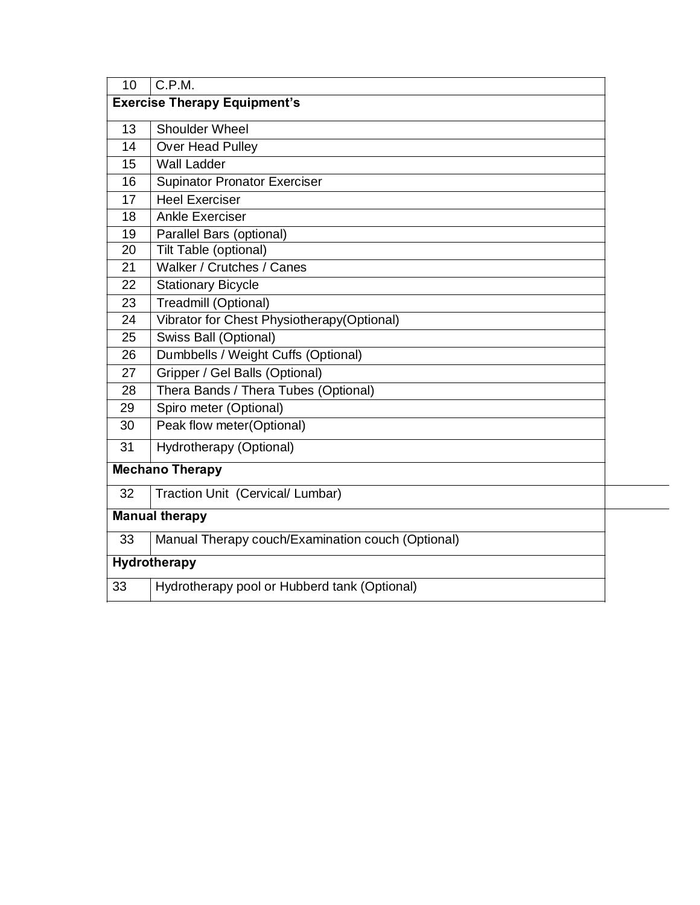| 10                                  | C.P.M.                                            |  |  |  |
|-------------------------------------|---------------------------------------------------|--|--|--|
| <b>Exercise Therapy Equipment's</b> |                                                   |  |  |  |
| 13                                  | <b>Shoulder Wheel</b>                             |  |  |  |
| 14                                  | Over Head Pulley                                  |  |  |  |
| 15                                  | <b>Wall Ladder</b>                                |  |  |  |
| 16                                  | <b>Supinator Pronator Exerciser</b>               |  |  |  |
| 17                                  | <b>Heel Exerciser</b>                             |  |  |  |
| 18                                  | <b>Ankle Exerciser</b>                            |  |  |  |
| 19                                  | Parallel Bars (optional)                          |  |  |  |
| 20                                  | Tilt Table (optional)                             |  |  |  |
| 21                                  | Walker / Crutches / Canes                         |  |  |  |
| 22                                  | <b>Stationary Bicycle</b>                         |  |  |  |
| 23                                  | Treadmill (Optional)                              |  |  |  |
| 24                                  | Vibrator for Chest Physiotherapy(Optional)        |  |  |  |
| 25                                  | Swiss Ball (Optional)                             |  |  |  |
| 26                                  | Dumbbells / Weight Cuffs (Optional)               |  |  |  |
| 27                                  | Gripper / Gel Balls (Optional)                    |  |  |  |
| 28                                  | Thera Bands / Thera Tubes (Optional)              |  |  |  |
| 29                                  | Spiro meter (Optional)                            |  |  |  |
| 30                                  | Peak flow meter(Optional)                         |  |  |  |
| 31                                  | Hydrotherapy (Optional)                           |  |  |  |
|                                     | <b>Mechano Therapy</b>                            |  |  |  |
| 32                                  | Traction Unit (Cervical/ Lumbar)                  |  |  |  |
|                                     | <b>Manual therapy</b>                             |  |  |  |
| 33                                  | Manual Therapy couch/Examination couch (Optional) |  |  |  |
|                                     | Hydrotherapy                                      |  |  |  |
| 33                                  | Hydrotherapy pool or Hubberd tank (Optional)      |  |  |  |